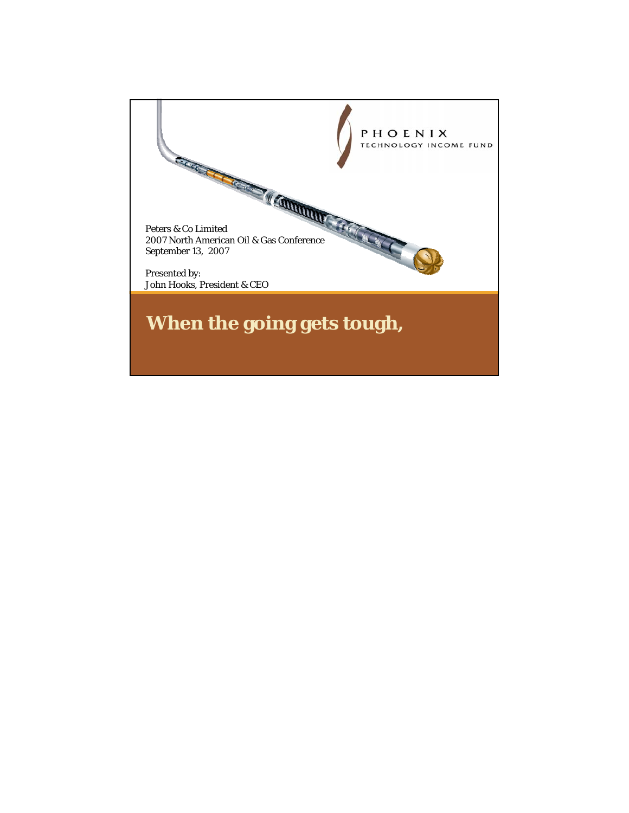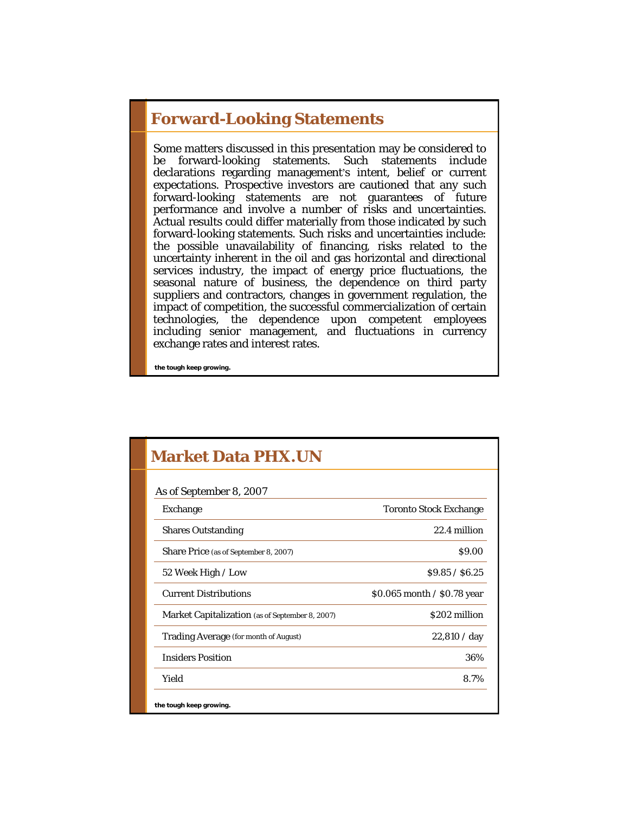#### **Forward-Looking Statements**

Some matters discussed in this presentation may be considered to be forward-looking statements. Such statements include declarations regarding management's intent, belief or current expectations. Prospective investors are cautioned that any such forward-looking statements are not guarantees of future performance and involve a number of risks and uncertainties. Actual results could differ materially from those indicated by such forward-looking statements. Such risks and uncertainties include: the possible unavailability of financing, risks related to the uncertainty inherent in the oil and gas horizontal and directional services industry, the impact of energy price fluctuations, the seasonal nature of business, the dependence on third party suppliers and contractors, changes in government regulation, the impact of competition, the successful commercialization of certain technologies, the dependence upon competent employees including senior management, and fluctuations in currency exchange rates and interest rates.

| <b>Market Data PHX.UN</b>                       |                               |
|-------------------------------------------------|-------------------------------|
| As of September 8, 2007                         |                               |
| <b>Exchange</b>                                 | <b>Toronto Stock Exchange</b> |
| <b>Shares Outstanding</b>                       | 22.4 million                  |
| Share Price (as of September 8, 2007)           | \$9.00                        |
| 52 Week High / Low                              | \$9.85 / \$6.25               |
| <b>Current Distributions</b>                    | \$0.065 month / \$0.78 year   |
| Market Capitalization (as of September 8, 2007) | \$202 million                 |
| Trading Average (for month of August)           | 22,810 / day                  |
| <b>Insiders Position</b>                        | 36%                           |
| Yield                                           | 8.7%                          |
| the tough keep growing.                         |                               |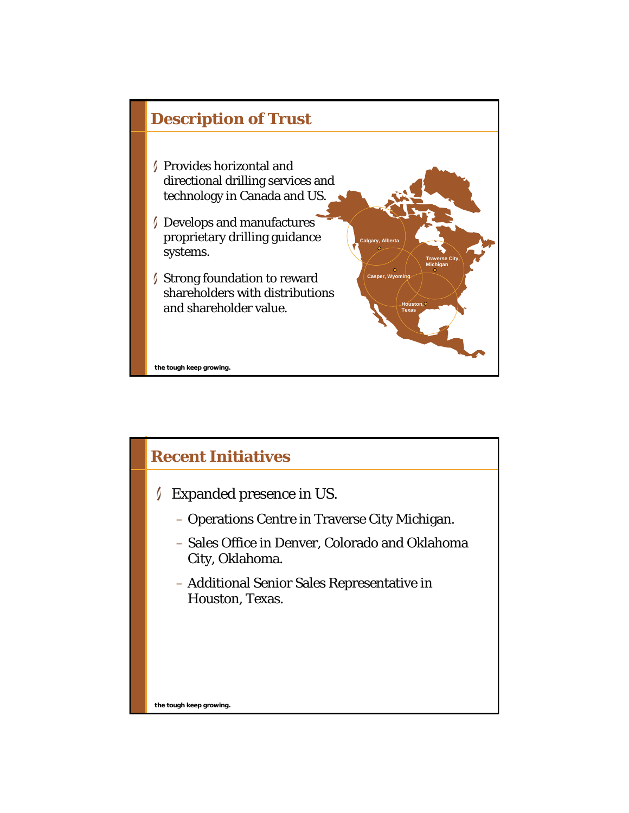

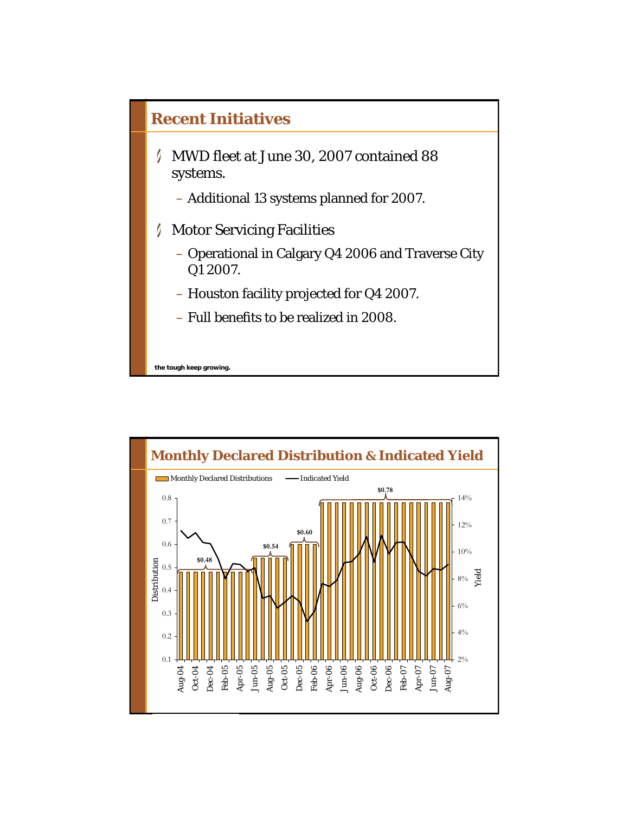

– Full benefits to be realized in 2008.

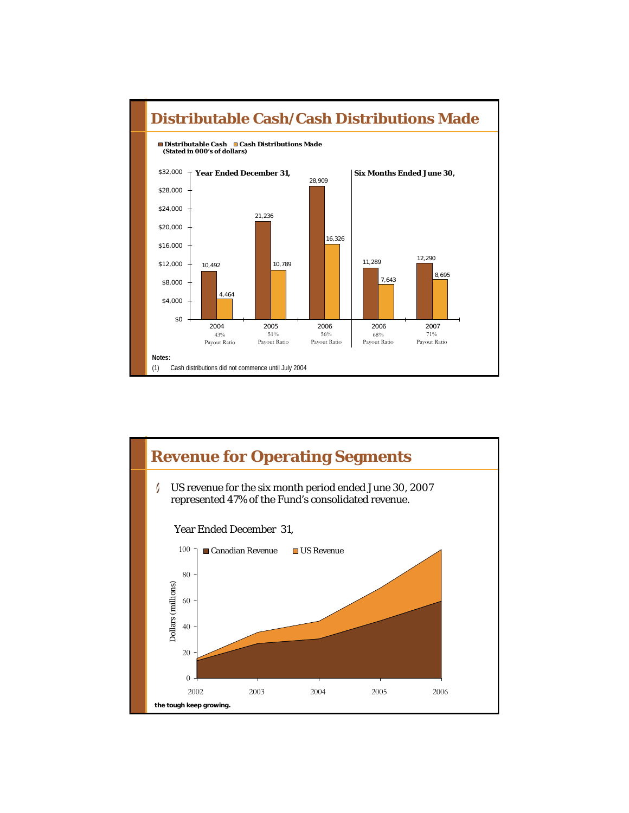

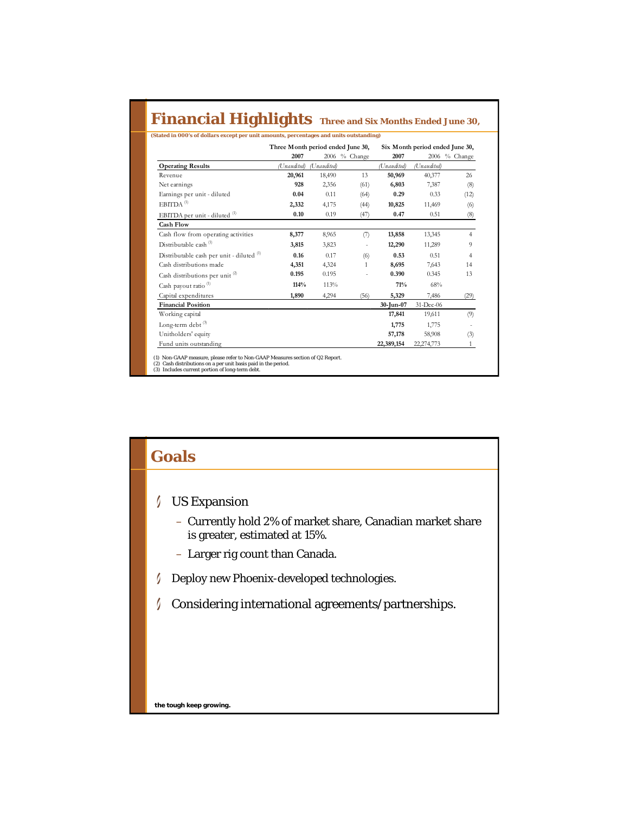#### **Financial Highlights Three and Six Months Ended June 30,**

|                                            | Three Month period ended June 30, |             |               | Six Month period ended June 30, |             |                |
|--------------------------------------------|-----------------------------------|-------------|---------------|---------------------------------|-------------|----------------|
|                                            | 2007                              |             | 2006 % Change | 2007                            |             | 2006 % Change  |
| <b>Operating Results</b>                   | (Unaudited)                       | (Unaudited) |               | (Unaudited)                     | (Unaudited) |                |
| Revenue                                    | 20,961                            | 18,490      | 13            | 50,969                          | 40,377      | 26             |
| Net earnings                               | 928                               | 2,356       | (61)          | 6,803                           | 7,387       | (8)            |
| Earnings per unit - diluted                | 0.04                              | 0.11        | (64)          | 0.29                            | 0.33        | (12)           |
| $EBITDA$ <sup>(1)</sup>                    | 2,332                             | 4,175       | (44)          | 10,825                          | 11,469      | (6)            |
| EBITDA per unit - diluted (1)              | 0.10                              | 0.19        | (47)          | 0.47                            | 0.51        | (8)            |
| <b>Cash Flow</b>                           |                                   |             |               |                                 |             |                |
| Cash flow from operating activities        | 8,377                             | 8,965       | (7)           | 13,858                          | 13,345      | $\overline{4}$ |
| Distributable cash <sup>(1)</sup>          | 3,815                             | 3,823       |               | 12,290                          | 11,289      | 9              |
| Distributable cash per unit - diluted (1)  | 0.16                              | 0.17        | (6)           | 0.53                            | 0.51        | $\overline{4}$ |
| Cash distributions made                    | 4,351                             | 4,324       | 1             | 8,695                           | 7.643       | 14             |
| Cash distributions per unit <sup>(2)</sup> | 0.195                             | 0.195       |               | 0.390                           | 0.345       | 13             |
| Cash payout ratio <sup>(1)</sup>           | 114%                              | 113%        |               | 71%                             | 68%         |                |
| Capital expenditures                       | 1,890                             | 4,294       | (56)          | 5,329                           | 7,486       | (29)           |
| <b>Financial Position</b>                  |                                   |             |               | 30-Jun-07                       | 31-Dec-06   |                |
| Working capital                            |                                   |             |               | 17,841                          | 19,611      | (9)            |
| Long-term debt <sup>(3)</sup>              |                                   |             |               | 1,775                           | 1,775       |                |
| Unitholders' equity                        |                                   |             |               | 57,178                          | 58,908      | (3)            |
| Fund units outstanding                     |                                   |             |               | 22,389,154                      | 22,274,773  | $\mathbf{1}$   |

**the tough control in the tought with the tought with the tought with the tought with the tought with the tought wi**<br>The tought with the tought with the tought with the tought with the tought with the tought with the tough (1) Non-GAAP measure, please refer to Non-GAAP Measures section of Q2 Report. (2) Cash distributions on a per unit basis paid in the period. (3) Includes current portion of long-term debt.

# **Goals** US Expansion – Currently hold 2% of market share, Canadian market share is greater, estimated at 15%. – Larger rig count than Canada. Deploy new Phoenix-developed technologies. I Considering international agreements/partnerships.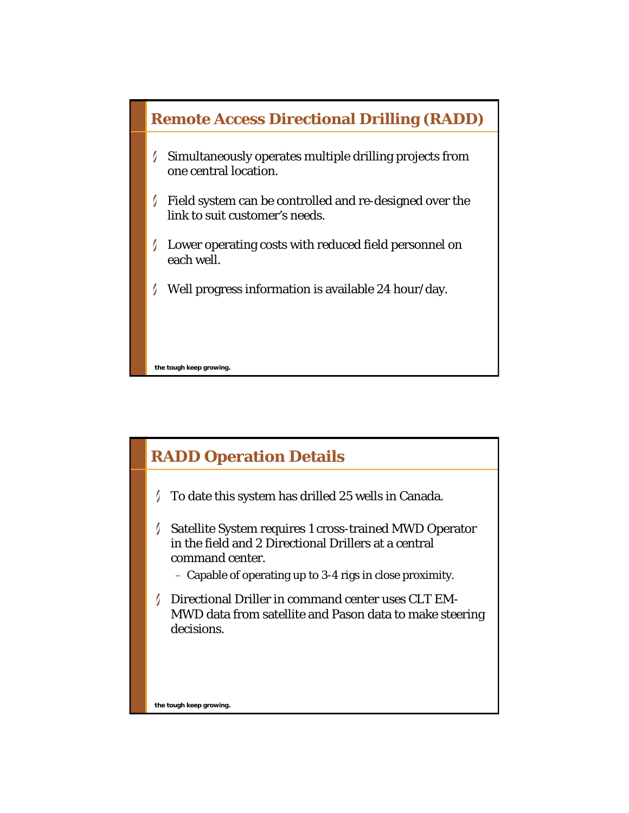

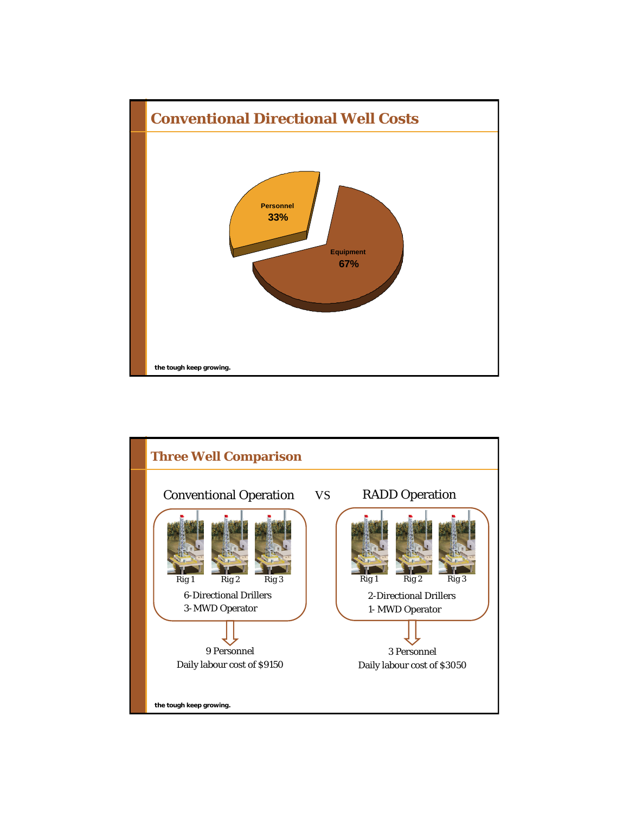

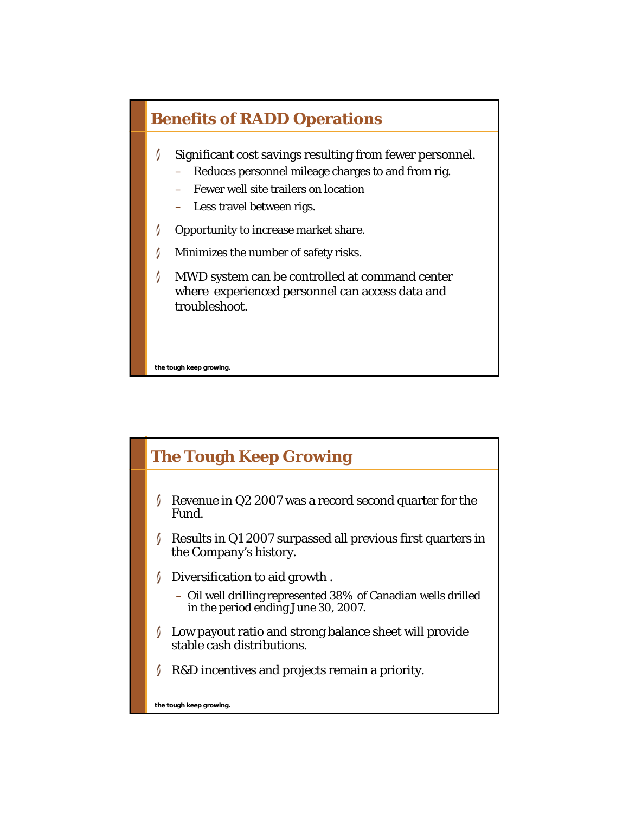#### **Benefits of RADD Operations**

- 0 Significant cost savings resulting from fewer personnel.
	- Reduces personnel mileage charges to and from rig.
	- Fewer well site trailers on location
	- Less travel between rigs.
- I Opportunity to increase market share.
- 0 Minimizes the number of safety risks.
- MWD system can be controlled at command center where experienced personnel can access data and troubleshoot.

**the tough keep growing.**

## **The Tough Keep Growing**

- Revenue in Q2 2007 was a record second quarter for the Fund.
- $\sqrt{\phantom{a}}$  Results in Q1 2007 surpassed all previous first quarters in the Company's history.
- Diversification to aid growth.
	- Oil well drilling represented 38% of Canadian wells drilled in the period ending June 30, 2007.
- Low payout ratio and strong balance sheet will provide stable cash distributions.
- R&D incentives and projects remain a priority.